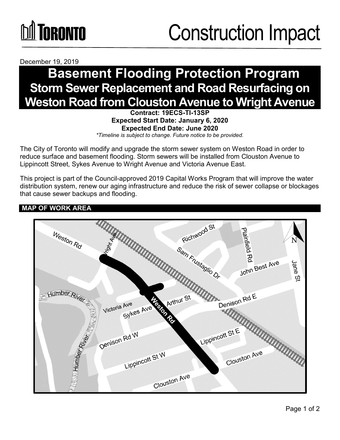# **DA TORONTO**

## Construction Impact

December 19, 2019

### **Basement Flooding Protection Program Storm Sewer Replacement and Road Resurfacing on Weston Road from Clouston Avenue to Wright Avenue**

**Contract: 19ECS-TI-13SP Expected Start Date: January 6, 2020 Expected End Date: June 2020**

*\*Timeline is subject to change. Future notice to be provided.*

The City of Toronto will modify and upgrade the storm sewer system on Weston Road in order to reduce surface and basement flooding. Storm sewers will be installed from Clouston Avenue to Lippincott Street, Sykes Avenue to Wright Avenue and Victoria Avenue East.

This project is part of the Council-approved 2019 Capital Works Program that will improve the water distribution system, renew our aging infrastructure and reduce the risk of sewer collapse or blockages that cause sewer backups and flooding.

#### **MAP OF WORK AREA**